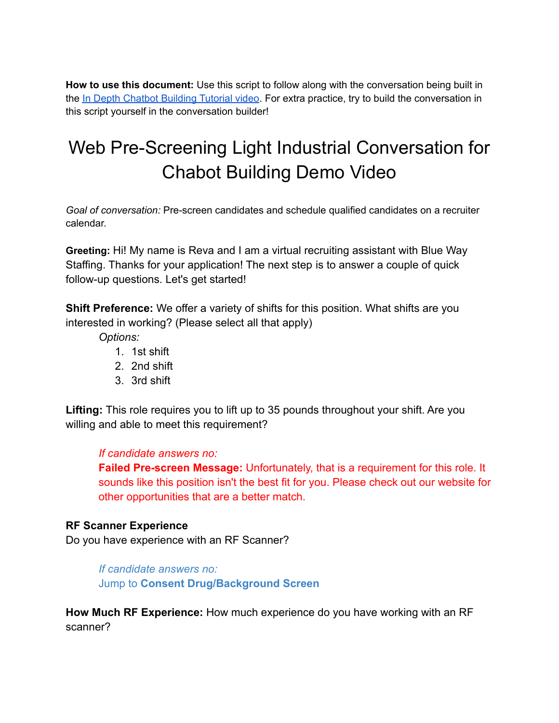**How to use this document:** Use this script to follow along with the conversation being built in the In Depth Chatbot [Building](https://www.youtube.com/watch?v=YJ2AFDgrbNA) Tutorial video. For extra practice, try to build the conversation in this script yourself in the conversation builder!

## Web Pre-Screening Light Industrial Conversation for Chabot Building Demo Video

*Goal of conversation:* Pre-screen candidates and schedule qualified candidates on a recruiter calendar.

**Greeting:** Hi! My name is Reva and I am a virtual recruiting assistant with Blue Way Staffing. Thanks for your application! The next step is to answer a couple of quick follow-up questions. Let's get started!

**Shift Preference:** We offer a variety of shifts for this position. What shifts are you interested in working? (Please select all that apply)

*Options:*

- 1. 1st shift
- 2. 2nd shift
- 3. 3rd shift

**Lifting:** This role requires you to lift up to 35 pounds throughout your shift. Are you willing and able to meet this requirement?

## *If candidate answers no:*

**Failed Pre-screen Message:** Unfortunately, that is a requirement for this role. It sounds like this position isn't the best fit for you. Please check out our website for other opportunities that are a better match.

## **RF Scanner Experience**

Do you have experience with an RF Scanner?

*If candidate answers no:* Jump to **Consent Drug/Background Screen**

**How Much RF Experience:** How much experience do you have working with an RF scanner?